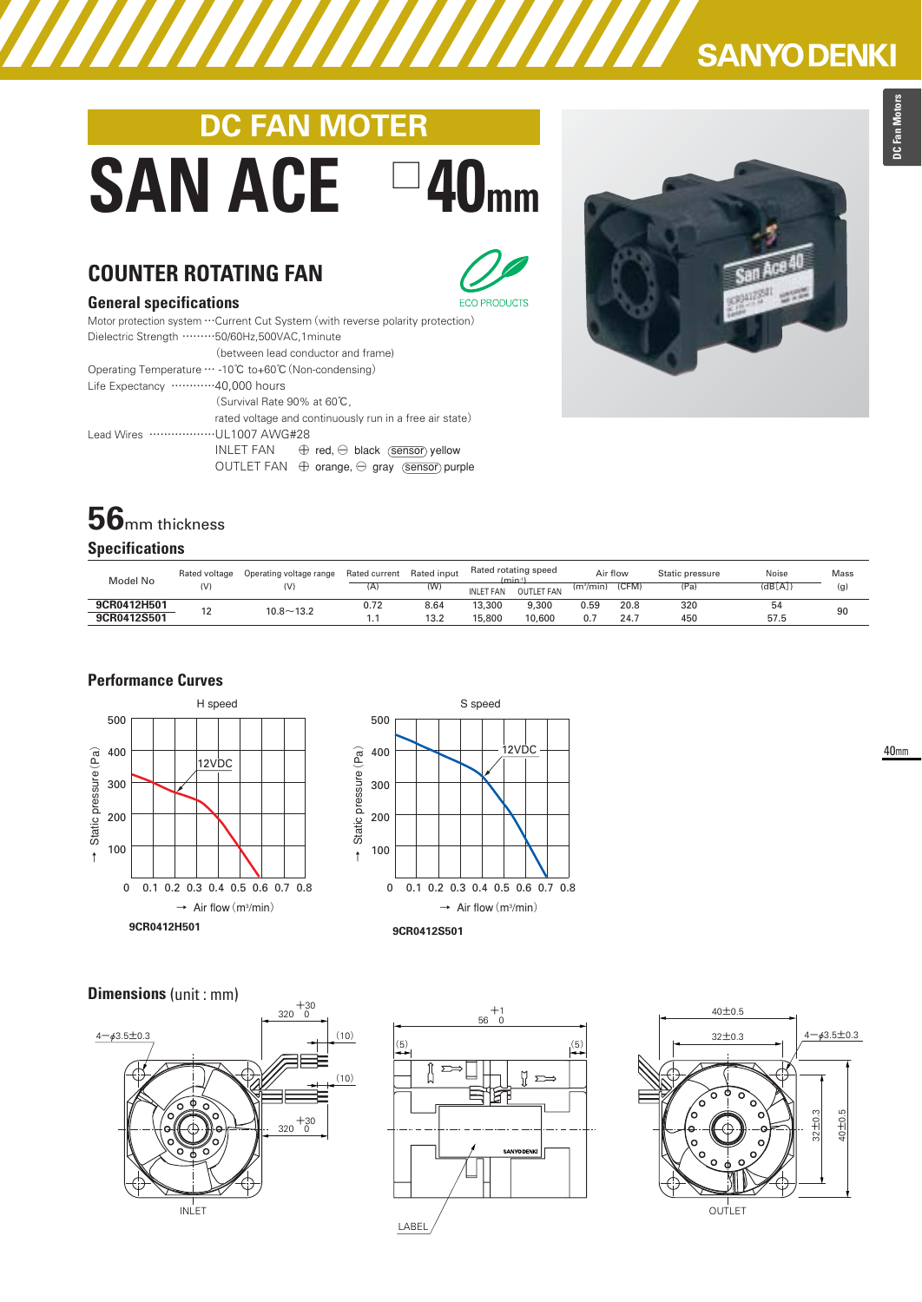# **DC FAN MOTER SAN ACE □40mm**



#### **General specifications**



| SUNTURUM PROVINTURITUM                                                         |  |  |  |  |  |  |  |  |  |
|--------------------------------------------------------------------------------|--|--|--|--|--|--|--|--|--|
| Motor protection system  Current Cut System (with reverse polarity protection) |  |  |  |  |  |  |  |  |  |
| Dielectric Strength 50/60Hz,500VAC,1minute                                     |  |  |  |  |  |  |  |  |  |
| (between lead conductor and frame)                                             |  |  |  |  |  |  |  |  |  |
| Operating Temperature … -10℃ to+60℃ (Non-condensing)                           |  |  |  |  |  |  |  |  |  |
| Life Expectancy 40,000 hours                                                   |  |  |  |  |  |  |  |  |  |
| (Survival Rate 90% at 60°C,                                                    |  |  |  |  |  |  |  |  |  |
| rated voltage and continuously run in a free air state)                        |  |  |  |  |  |  |  |  |  |
| Lead Wires UL1007 AWG#28                                                       |  |  |  |  |  |  |  |  |  |
| INLET FAN<br>$\oplus$ red, $\ominus$ black (sensor) yellow                     |  |  |  |  |  |  |  |  |  |
| OUTLET FAN $\oplus$ orange, $\ominus$ gray (sensor) purple                     |  |  |  |  |  |  |  |  |  |

## **56**mm thickness **Specifications**

| Model No    | Rated voltage | Operating voltage range | Rated input<br>Rated current |      | Rated rotating speed<br>(min-1 |                   | Air flow              |       | Static pressure | Noise  | Mass |
|-------------|---------------|-------------------------|------------------------------|------|--------------------------------|-------------------|-----------------------|-------|-----------------|--------|------|
|             | (V)           | (V)                     | (A)                          | w    | <b>INLET FAN</b>               | <b>OUTLET FAN</b> | (m <sup>3</sup> /min) | (CFM) | ⊤(Pā)           | (dB[A] | (g)  |
| 9CR0412H501 |               | $10.8 - 13.2$           | 0.72                         | 8.64 | 13,300                         | 9.300             | 0.59                  | 20.8  | 320             | 54     | 90   |
| 9CR0412S501 |               |                         | . .                          | 13.2 | 15,800                         | 10,600            | 0.7                   | 24.7  | 450             | 57.5   |      |

### **Performance Curves**





## **Dimensions** (unit : mm)







**SANYO DENKI**